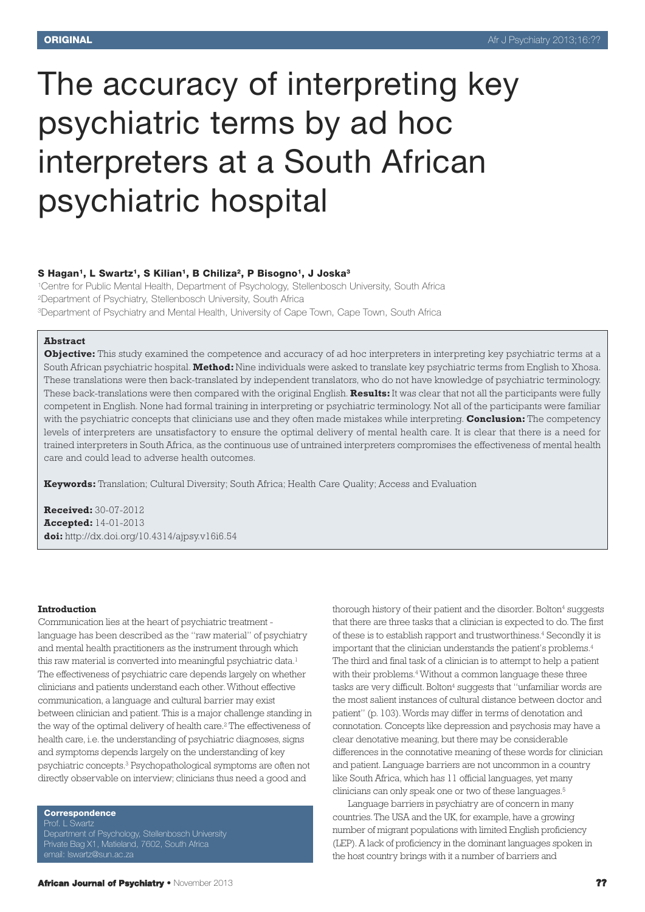# The accuracy of interpreting key psychiatric terms by ad hoc interpreters at a South African psychiatric hospital

#### **S Hagan1, L Swartz1, S Kilian1, B Chiliza2, P Bisogno1, J Joska3**

1Centre for Public Mental Health, Department of Psychology, Stellenbosch University, South Africa 2Department of Psychiatry, Stellenbosch University, South Africa 3Department of Psychiatry and Mental Health, University of Cape Town, Cape Town, South Africa

### **Abstract**

**Objective:** This study examined the competence and accuracy of ad hoc interpreters in interpreting key psychiatric terms at a South African psychiatric hospital. **Method:** Nine individuals were asked to translate key psychiatric terms from English to Xhosa. These translations were then back-translated by independent translators, who do not have knowledge of psychiatric terminology. These back-translations were then compared with the original English. **Results:**It was clear that not all the participants were fully competent in English. None had formal training in interpreting or psychiatric terminology. Not all of the participants were familiar with the psychiatric concepts that clinicians use and they often made mistakes while interpreting. **Conclusion:** The competency levels of interpreters are unsatisfactory to ensure the optimal delivery of mental health care. It is clear that there is a need for trained interpreters in South Africa, as the continuous use of untrained interpreters compromises the effectiveness of mental health care and could lead to adverse health outcomes.

**Keywords:** Translation; Cultural Diversity; South Africa; Health Care Quality; Access and Evaluation

**Received:** 30-07-2012 **Accepted:** 14-01-2013 **doi:** http://dx.doi.org/10.4314/ajpsy.v16i6.54

#### **Introduction**

Communication lies at the heart of psychiatric treatment language has been described as the "raw material" of psychiatry and mental health practitioners as the instrument through which this raw material is converted into meaningful psychiatric data. 1 The effectiveness of psychiatric care depends largely on whether clinicians and patients understand each other.Without effective communication, a language and cultural barrier may exist between clinician and patient. This is a major challenge standing in the way of the optimal delivery of health care. <sup>2</sup> The effectiveness of health care, i.e. the understanding of psychiatric diagnoses, signs and symptoms depends largely on the understanding of key psychiatric concepts. <sup>3</sup> Psychopathological symptoms are often not directly observable on interview; clinicians thus need a good and

**Correspondence**

Department of Psychology, Stellenbosch University Private Bag X1, Matieland, 7602, South Africa email: lswartz@sun.ac.za

thorough history of their patient and the disorder. Bolton4 suggests that there are three tasks that a clinician is expected to do. The first of these is to establish rapport and trustworthiness. <sup>4</sup> Secondly it is important that the clinician understands the patient's problems. 4 The third and final task of a clinician is to attempt to help a patient with their problems. <sup>4</sup> Without a common language these three tasks are very difficult. Bolton<sup>4</sup> suggests that "unfamiliar words are the most salient instances of cultural distance between doctor and patient" (p. 103).Words may differ in terms of denotation and connotation. Concepts like depression and psychosis may have a clear denotative meaning, but there may be considerable differences in the connotative meaning of these words for clinician and patient. Language barriers are not uncommon in a country like South Africa, which has 11 official languages, yet many clinicians can only speak one or two of these languages. 5

Language barriers in psychiatry are of concern in many countries.The USA and the UK, for example, have a growing number of migrant populations with limited English proficiency (LEP).A lack of proficiency in the dominant languages spoken in the host country brings with it a number of barriers and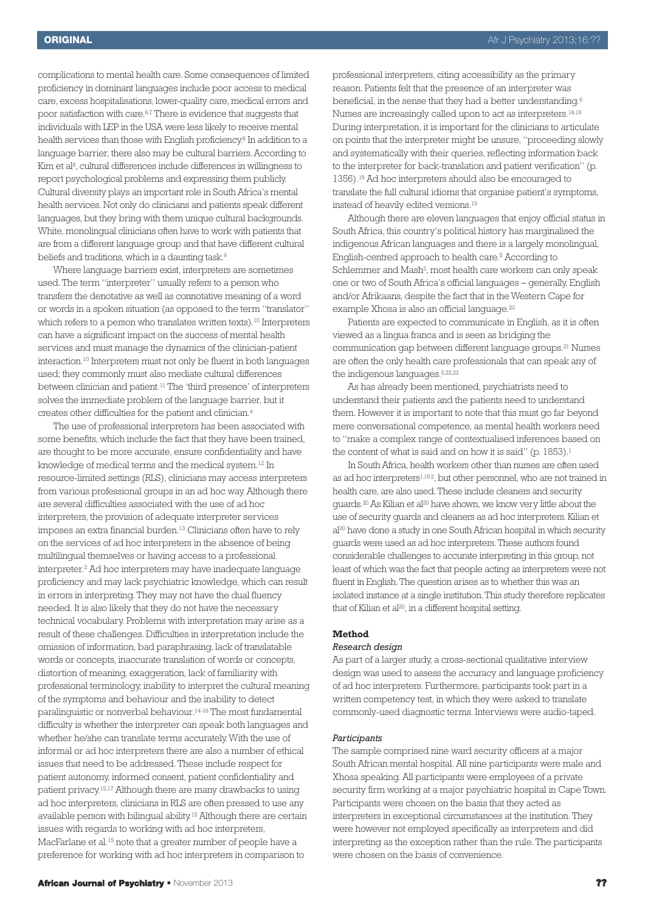complications to mental health care. Some consequences of limited proficiency in dominant languages include poor access to medical care, excess hospitalisations, lower-quality care, medical errors and poor satisfaction with care. 6.7 There is evidence that suggests that individuals with LEP in the USA were less likely to receive mental health services than those with English proficiency. <sup>8</sup> In addition to a language barrier, there also may be cultural barriers.According to Kim et al 8, cultural differences include differences in willingness to report psychological problems and expressing them publicly. Cultural diversity plays an important role in South Africa's mental health services. Not only do clinicians and patients speak different languages, but they bring with them unique cultural backgrounds. White, monolingual clinicians often have to work with patients that are from a different language group and that have different cultural beliefs and traditions, which is a daunting task. 9

Where language barriers exist, interpreters are sometimes used.The term "interpreter" usually refers to a person who transfers the denotative as well as connotative meaning of a word or words in a spoken situation (as opposed to the term "translator" which refers to a person who translates written texts). <sup>10</sup> Interpreters can have a significant impact on the success of mental health services and must manage the dynamics of the clinician-patient interaction. <sup>10</sup> Interpreters must not only be fluent in both languages used; they commonly must also mediate cultural differences between clinician and patient. <sup>11</sup> The 'third presence' of interpreters solves the immediate problem of the language barrier, but it creates other difficulties for the patient and clinician. 4

The use of professional interpreters has been associated with some benefits, which include the fact that they have been trained, are thought to be more accurate, ensure confidentiality and have knowledge of medical terms and the medical system. <sup>12</sup> In resource-limited settings (RLS), clinicians may access interpreters from various professional groups in an ad hoc way. Although there are several difficulties associated with the use of ad hoc interpreters, the provision of adequate interpreter services imposes an extra financial burden. <sup>13</sup> Clinicians often have to rely on the services of ad hoc interpreters in the absence of being multilingual themselves or having access to a professional interpreter. <sup>2</sup> Ad hoc interpreters may have inadequate language proficiency and may lack psychiatric knowledge, which can result in errors in interpreting. They may not have the dual fluency needed. It is also likely that they do not have the necessary technical vocabulary. Problems with interpretation may arise as a result of these challenges. Difficulties in interpretation include the omission of information, bad paraphrasing, lack of translatable words or concepts, inaccurate translation of words or concepts, distortion of meaning, exaggeration, lack of familiarity with professional terminology, inability to interpret the cultural meaning of the symptoms and behaviour and the inability to detect paralinguistic or nonverbal behaviour. 14-16 The most fundamental difficulty is whether the interpreter can speak both languages and whether he/she can translate terms accurately.With the use of informal or ad hoc interpreters there are also a number of ethical issues that need to be addressed. These include respect for patient autonomy, informed consent, patient confidentiality and patient privacy. 15,17 Although there are many drawbacks to using ad hoc interpreters, clinicians in RLS are often pressed to use any available person with bilingual ability. <sup>15</sup> Although there are certain issues with regards to working with ad hoc interpreters, MacFarlane et al. <sup>15</sup> note that a greater number of people have a preference for working with ad hoc interpreters in comparison to

professional interpreters, citing accessibility as the primary reason. Patients felt that the presence of an interpreter was beneficial, in the sense that they had a better understanding.<sup>6</sup> Nurses are increasingly called upon to act as interpreters.<sup>18,19</sup> During interpretation, it is important for the clinicians to articulate on points that the interpreter might be unsure, "proceeding slowly and systematically with their queries, reflecting information back to the interpreter for back-translation and patient verification" (p. 1356). <sup>19</sup> Ad hoc interpreters should also be encouraged to translate the full cultural idioms that organise patient's symptoms, instead of heavily edited versions. 19

Although there are eleven languages that enjoy official status in South Africa, this country's political history has marginalised the indigenous African languages and there is a largely monolingual, English-centred approach to health care. <sup>5</sup> According to Schlemmer and Mash<sup>2</sup>, most health care workers can only speak one or two of South Africa's official languages – generally, English and/or Afrikaans, despite the fact that in the Western Cape for example Xhosa is also an official language.<sup>20</sup>

Patients are expected to communicate in English, as it is often viewed as a lingua franca and is seen as bridging the communication gap between different language groups. <sup>21</sup> Nurses are often the only health care professionals that can speak any of the indigenous languages. 5,22,23

As has already been mentioned, psychiatrists need to understand their patients and the patients need to understand them. However it is important to note that this must go far beyond mere conversational competence, as mental health workers need to "make a complex range of contextualised inferences based on the content of what is said and on how it is said" (p. 1853). 1

In South Africa, health workers other than nurses are often used as ad hoc interpreters<sup>1.19.2</sup>, but other personnel, who are not trained in health care, are also used.These include cleaners and security guards. <sup>20</sup> As Kilian et al <sup>20</sup> have shown, we know very little about the use of security guards and cleaners as ad hoc interpreters. Kilian et al <sup>20</sup> have done a study in one South African hospital in which security guards were used as ad hoc interpreters.These authors found considerable challenges to accurate interpreting in this group, not least of which was the fact that people acting as interpreters were not fluent in English. The question arises as to whether this was an isolated instance at a single institution.This study therefore replicates that of Kilian et al 20, in a different hospital setting.

## **Method**

## *Research design*

As part of a larger study, a cross-sectional qualitative interview design was used to assess the accuracy and language proficiency of ad hoc interpreters. Furthermore, participants took part in a written competency test, in which they were asked to translate commonly-used diagnostic terms. Interviews were audio-taped.

#### *Participants*

The sample comprised nine ward security officers at a major South African mental hospital. All nine participants were male and Xhosa speaking. All participants were employees of a private security firm working at a major psychiatric hospital in Cape Town. Participants were chosen on the basis that they acted as interpreters in exceptional circumstances at the institution. They were however not employed specifically as interpreters and did interpreting as the exception rather than the rule. The participants were chosen on the basis of convenience.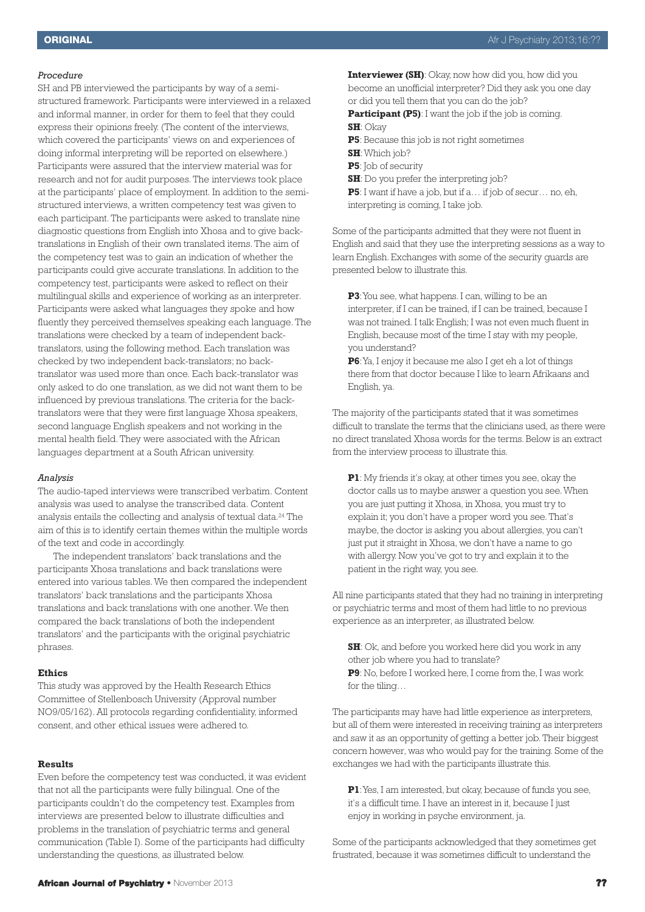#### *Procedure*

SH and PB interviewed the participants by way of a semistructured framework. Participants were interviewed in a relaxed and informal manner, in order for them to feel that they could express their opinions freely. (The content of the interviews, which covered the participants' views on and experiences of doing informal interpreting will be reported on elsewhere.) Participants were assured that the interview material was for research and not for audit purposes. The interviews took place at the participants' place of employment. In addition to the semistructured interviews, a written competency test was given to each participant. The participants were asked to translate nine diagnostic questions from English into Xhosa and to give backtranslations in English of their own translated items. The aim of the competency test was to gain an indication of whether the participants could give accurate translations. In addition to the competency test, participants were asked to reflect on their multilingual skills and experience of working as an interpreter. Participants were asked what languages they spoke and how fluently they perceived themselves speaking each language. The translations were checked by a team of independent backtranslators, using the following method. Each translation was checked by two independent back-translators; no backtranslator was used more than once. Each back-translator was only asked to do one translation, as we did not want them to be influenced by previous translations. The criteria for the backtranslators were that they were first language Xhosa speakers, second language English speakers and not working in the mental health field. They were associated with the African languages department at a South African university.

#### *Analysis*

The audio-taped interviews were transcribed verbatim. Content analysis was used to analyse the transcribed data. Content analysis entails the collecting and analysis of textual data. <sup>24</sup> The aim of this is to identify certain themes within the multiple words of the text and code in accordingly.

The independent translators' back translations and the participants Xhosa translations and back translations were entered into various tables.We then compared the independent translators' back translations and the participants Xhosa translations and back translations with one another.We then compared the back translations of both the independent translators' and the participants with the original psychiatric phrases.

#### **Ethics**

This study was approved by the Health Research Ethics Committee of Stellenbosch University (Approval number NO9/05/162). All protocols regarding confidentiality, informed consent, and other ethical issues were adhered to.

# **Results**

Even before the competency test was conducted, it was evident that not all the participants were fully bilingual. One of the participants couldn't do the competency test. Examples from interviews are presented below to illustrate difficulties and problems in the translation of psychiatric terms and general communication (Table I). Some of the participants had difficulty understanding the questions, as illustrated below.

**Interviewer (SH)**: Okay, now how did you, how did you become an unofficial interpreter? Did they ask you one day or did you tell them that you can do the job?

**Participant (P5)**: I want the job if the job is coming. **SH**: Okay

- **P5**: Because this job is not right sometimes
- **SH**:Which job?
- **P5**: Job of security
- **SH**: Do you prefer the interpreting job?

**P5**: I want if have a job, but if a… if job of secur… no, eh, interpreting is coming, I take job.

Some of the participants admitted that they were not fluent in English and said that they use the interpreting sessions as a way to learn English. Exchanges with some of the security guards are presented below to illustrate this.

**P3**:You see, what happens. I can, willing to be an interpreter, if I can be trained, if I can be trained, because I was not trained. I talk English; I was not even much fluent in English, because most of the time I stay with my people, you understand?

**P6**:Ya, I enjoy it because me also I get eh a lot of things there from that doctor because I like to learn Afrikaans and English, ya.

The majority of the participants stated that it was sometimes difficult to translate the terms that the clinicians used, as there were no direct translated Xhosa words for the terms. Below is an extract from the interview process to illustrate this.

**P1**: My friends it's okay, at other times you see, okay the doctor calls us to maybe answer a question you see.When you are just putting it Xhosa, in Xhosa, you must try to explain it; you don't have a proper word you see. That's maybe, the doctor is asking you about allergies, you can't just put it straight in Xhosa, we don't have a name to go with allergy. Now you've got to try and explain it to the patient in the right way, you see.

All nine participants stated that they had no training in interpreting or psychiatric terms and most of them had little to no previous experience as an interpreter, as illustrated below.

**SH**: Ok, and before you worked here did you work in any other job where you had to translate? **P9**: No, before I worked here, I come from the, I was work for the tiling…

The participants may have had little experience as interpreters, but all of them were interested in receiving training as interpreters and saw it as an opportunity of getting a better job. Their biggest concern however, was who would pay for the training. Some of the exchanges we had with the participants illustrate this.

**P1**:Yes, I am interested, but okay, because of funds you see, it's a difficult time. I have an interest in it, because I just enjoy in working in psyche environment, ja.

Some of the participants acknowledged that they sometimes get frustrated, because it was sometimes difficult to understand the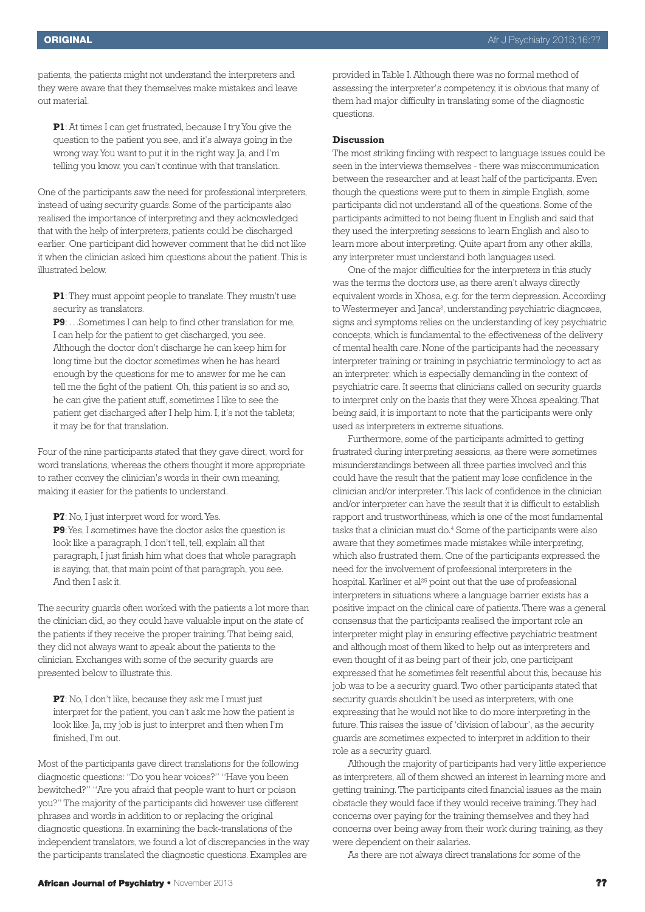patients, the patients might not understand the interpreters and they were aware that they themselves make mistakes and leave out material.

**P1**: At times I can get frustrated, because I try. You give the question to the patient you see, and it's always going in the wrong way.You want to put it in the right way. Ja, and I'm telling you know, you can't continue with that translation.

One of the participants saw the need for professional interpreters, instead of using security guards. Some of the participants also realised the importance of interpreting and they acknowledged that with the help of interpreters, patients could be discharged earlier. One participant did however comment that he did not like it when the clinician asked him questions about the patient. This is illustrated below.

**P1**: They must appoint people to translate. They mustn't use security as translators.

**P9**: …Sometimes I can help to find other translation for me, I can help for the patient to get discharged, you see. Although the doctor don't discharge he can keep him for long time but the doctor sometimes when he has heard enough by the questions for me to answer for me he can tell me the fight of the patient. Oh, this patient is so and so, he can give the patient stuff, sometimes I like to see the patient get discharged after I help him. I, it's not the tablets; it may be for that translation.

Four of the nine participants stated that they gave direct, word for word translations, whereas the others thought it more appropriate to rather convey the clinician's words in their own meaning, making it easier for the patients to understand.

**P7**: No, I just interpret word for word.Yes.

**P9**:Yes, I sometimes have the doctor asks the question is look like a paragraph, I don't tell, tell, explain all that paragraph, I just finish him what does that whole paragraph is saying, that, that main point of that paragraph, you see. And then I ask it.

The security guards often worked with the patients a lot more than the clinician did, so they could have valuable input on the state of the patients if they receive the proper training. That being said, they did not always want to speak about the patients to the clinician. Exchanges with some of the security guards are presented below to illustrate this.

**P7**: No, I don't like, because they ask me I must just interpret for the patient, you can't ask me how the patient is look like. Ja, my job is just to interpret and then when I'm finished, I'm out.

Most of the participants gave direct translations for the following diagnostic questions: "Do you hear voices?" "Have you been bewitched?" "Are you afraid that people want to hurt or poison you?" The majority of the participants did however use different phrases and words in addition to or replacing the original diagnostic questions. In examining the back-translations of the independent translators, we found a lot of discrepancies in the way the participants translated the diagnostic questions. Examples are

provided in Table I. Although there was no formal method of assessing the interpreter's competency, it is obvious that many of them had major difficulty in translating some of the diagnostic questions.

#### **Discussion**

The most striking finding with respect to language issues could be seen in the interviews themselves - there was miscommunication between the researcher and at least half of the participants. Even though the questions were put to them in simple English, some participants did not understand all of the questions. Some of the participants admitted to not being fluent in English and said that they used the interpreting sessions to learn English and also to learn more about interpreting. Quite apart from any other skills, any interpreter must understand both languages used.

One of the major difficulties for the interpreters in this study was the terms the doctors use, as there aren't always directly equivalent words in Xhosa, e.g. for the term depression. According to Westermeyer and Janca<sup>3</sup>, understanding psychiatric diagnoses, signs and symptoms relies on the understanding of key psychiatric concepts, which is fundamental to the effectiveness of the delivery of mental health care. None of the participants had the necessary interpreter training or training in psychiatric terminology to act as an interpreter, which is especially demanding in the context of psychiatric care. It seems that clinicians called on security guards to interpret only on the basis that they were Xhosa speaking. That being said, it is important to note that the participants were only used as interpreters in extreme situations.

Furthermore, some of the participants admitted to getting frustrated during interpreting sessions, as there were sometimes misunderstandings between all three parties involved and this could have the result that the patient may lose confidence in the clinician and/or interpreter. This lack of confidence in the clinician and/or interpreter can have the result that it is difficult to establish rapport and trustworthiness, which is one of the most fundamental tasks that a clinician must do. <sup>4</sup> Some of the participants were also aware that they sometimes made mistakes while interpreting, which also frustrated them. One of the participants expressed the need for the involvement of professional interpreters in the hospital. Karliner et al <sup>25</sup> point out that the use of professional interpreters in situations where a language barrier exists has a positive impact on the clinical care of patients. There was a general consensus that the participants realised the important role an interpreter might play in ensuring effective psychiatric treatment and although most of them liked to help out as interpreters and even thought of it as being part of their job, one participant expressed that he sometimes felt resentful about this, because his job was to be a security guard. Two other participants stated that security guards shouldn't be used as interpreters, with one expressing that he would not like to do more interpreting in the future. This raises the issue of 'division of labour', as the security guards are sometimes expected to interpret in addition to their role as a security guard.

Although the majority of participants had very little experience as interpreters, all of them showed an interest in learning more and getting training. The participants cited financial issues as the main obstacle they would face if they would receive training. They had concerns over paying for the training themselves and they had concerns over being away from their work during training, as they were dependent on their salaries.

As there are not always direct translations for some of the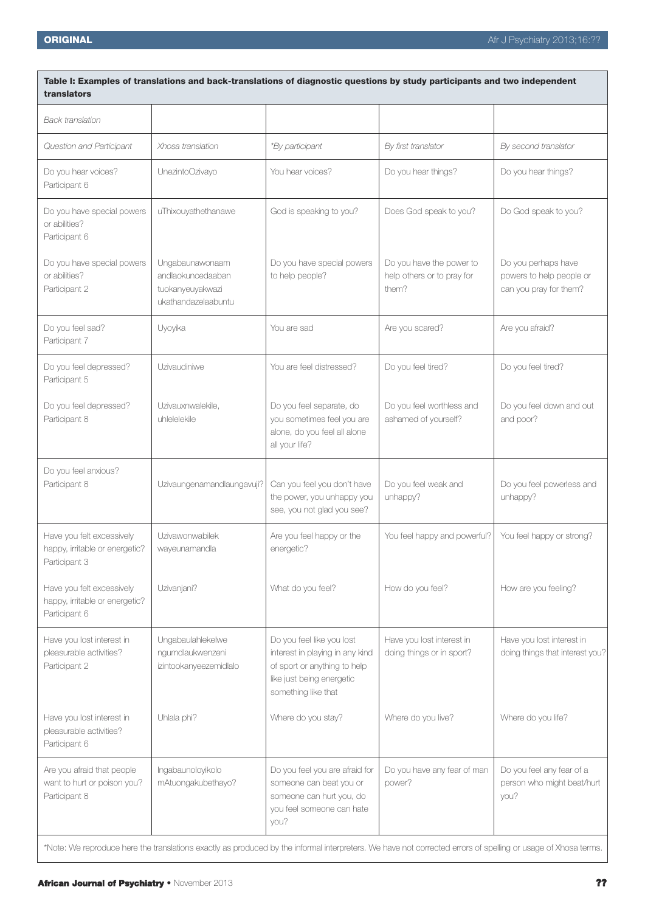| Table I: Examples of translations and back-translations of diagnostic questions by study participants and two independent<br>translators                      |                                                                                 |                                                                                                                                                  |                                                                 |                                                                           |
|---------------------------------------------------------------------------------------------------------------------------------------------------------------|---------------------------------------------------------------------------------|--------------------------------------------------------------------------------------------------------------------------------------------------|-----------------------------------------------------------------|---------------------------------------------------------------------------|
| <b>Back translation</b>                                                                                                                                       |                                                                                 |                                                                                                                                                  |                                                                 |                                                                           |
| Question and Participant                                                                                                                                      | Xhosa translation                                                               | <i>*By participant</i>                                                                                                                           | By first translator                                             | By second translator                                                      |
| Do you hear voices?<br>Participant 6                                                                                                                          | UnezintoOzivayo                                                                 | You hear voices?                                                                                                                                 | Do you hear things?                                             | Do you hear things?                                                       |
| Do you have special powers<br>or abilities?<br>Participant 6                                                                                                  | uThixouyathethanawe                                                             | God is speaking to you?                                                                                                                          | Does God speak to you?                                          | Do God speak to you?                                                      |
| Do you have special powers<br>or abilities?<br>Participant 2                                                                                                  | Ungabaunawonaam<br>andlaokuncedaaban<br>tuokanyeuyakwazi<br>ukathandazelaabuntu | Do you have special powers<br>to help people?                                                                                                    | Do you have the power to<br>help others or to pray for<br>them? | Do you perhaps have<br>powers to help people or<br>can you pray for them? |
| Do you feel sad?<br>Participant 7                                                                                                                             | Uyoyika                                                                         | You are sad                                                                                                                                      | Are you scared?                                                 | Are you afraid?                                                           |
| Do you feel depressed?<br>Participant 5                                                                                                                       | Uzivaudiniwe                                                                    | You are feel distressed?                                                                                                                         | Do you feel tired?                                              | Do you feel tired?                                                        |
| Do you feel depressed?<br>Participant 8                                                                                                                       | Uzivauxnwalekile,<br>uhlelelekile                                               | Do you feel separate, do<br>you sometimes feel you are<br>alone, do you feel all alone<br>all your life?                                         | Do you feel worthless and<br>ashamed of yourself?               | Do you feel down and out<br>and poor?                                     |
| Do you feel anxious?<br>Participant 8                                                                                                                         | Uzivaungenamandlaungavuji?                                                      | Can you feel you don't have<br>the power, you unhappy you<br>see, you not glad you see?                                                          | Do you feel weak and<br>unhappy?                                | Do you feel powerless and<br>unhappy?                                     |
| Have you felt excessively<br>happy, irritable or energetic?<br>Participant 3                                                                                  | Uzivawonwabilek<br>wayeunamandla                                                | Are you feel happy or the<br>energetic?                                                                                                          | You feel happy and powerful?                                    | You feel happy or strong?                                                 |
| Have you felt excessively<br>happy, irritable or energetic?<br>Participant 6                                                                                  | Uzivanjani?                                                                     | What do you feel?                                                                                                                                | How do you feel?                                                | How are you feeling?                                                      |
| Have you lost interest in<br>pleasurable activities?<br>Participant 2                                                                                         | Ungabaulahlekelwe<br>ngumdlaukwenzeni<br>izintookanyeezemidlalo                 | Do you feel like you lost<br>interest in playing in any kind<br>of sport or anything to help<br>like just being energetic<br>something like that | Have you lost interest in<br>doing things or in sport?          | Have you lost interest in<br>doing things that interest you?              |
| Have you lost interest in<br>pleasurable activities?<br>Participant 6                                                                                         | Uhlala phi?                                                                     | Where do you stay?                                                                                                                               | Where do you live?                                              | Where do you life?                                                        |
| Are you afraid that people<br>want to hurt or poison you?<br>Participant 8                                                                                    | Ingabaunoloyikolo<br>mAtuongakubethayo?                                         | Do you feel you are afraid for<br>someone can beat you or<br>someone can hurt you, do<br>you feel someone can hate<br>you?                       | Do you have any fear of man<br>power?                           | Do you feel any fear of a<br>person who might beat/hurt<br>you?           |
| *Note: We reproduce here the translations exactly as produced by the informal interpreters. We have not corrected errors of spelling or usage of Xhosa terms. |                                                                                 |                                                                                                                                                  |                                                                 |                                                                           |